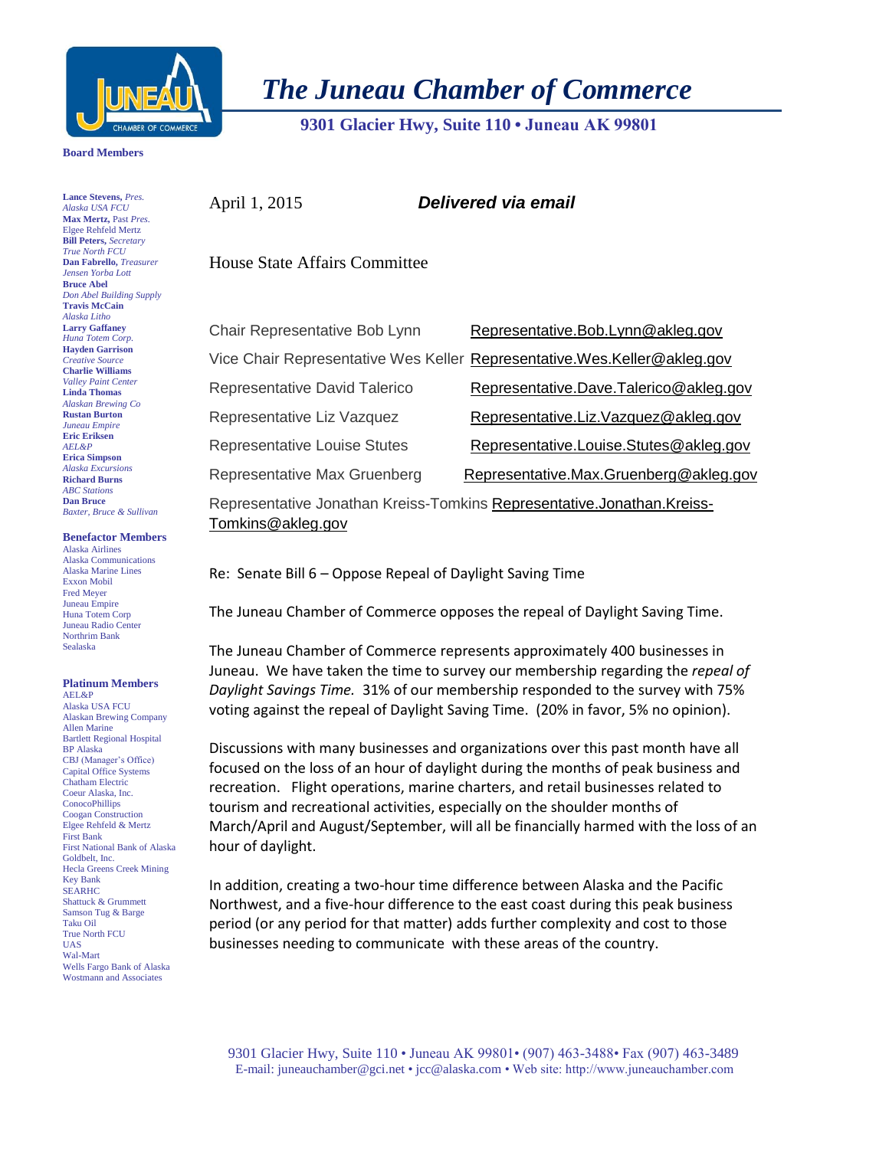

*The Juneau Chamber of Commerce*

 **9301 Glacier Hwy, Suite 110 • Juneau AK 99801** 

## **Board Members**

**Lance Stevens,** *Pres. Alaska USA FCU* **Max Mertz,** Past *Pres.*  Elgee Rehfeld Mertz **Bill Peters,** *Secretary True North FCU* **Dan Fabrello,** *Treasurer Jensen Yorba Lott* **Bruce Abel** *Don Abel Building Supply* **Travis McCain** *Alaska Litho* **Larry Gaffaney** *Huna Totem Corp.* **Hayden Garrison** *Creative Source* **Charlie Williams** *Valley Paint Center* **Linda Thomas** *Alaskan Brewing Co* **Rustan Burton** *Juneau Empire* **Eric Eriksen** *AEL&P* **Erica Simpson** *Alaska Excursions* **Richard Burns** *ABC Stations* **Dan Bruce** *Baxter, Bruce & Sullivan*

## **Benefactor Members**

Alaska Airlines Alaska Communications Alaska Marine Lines Exxon Mobil Fred Meyer Juneau Empire Huna Totem Corp Juneau Radio Center Northrim Bank Sealaska

## **Platinum Members**

AEL&P Alaska USA FCU Alaskan Brewing Company Allen Marine Bartlett Regional Hospital BP Alaska CBJ (Manager's Office) Capital Office Systems Chatham Electric Coeur Alaska, Inc. **ConocoPhillips** Coogan Construction Elgee Rehfeld & Mertz First Bank First National Bank of Alaska Goldbelt, Inc. Hecla Greens Creek Mining Key Bank SEARHC Shattuck & Grummett Samson Tug & Barge Taku Oil True North FCU UAS Wal-Mart Wells Fargo Bank of Alaska Wostmann and Associates

April 1, 2015 *Delivered via email*

House State Affairs Committee

| Chair Representative Bob Lynn                                                               | Representative.Bob.Lynn@akleg.gov                                          |
|---------------------------------------------------------------------------------------------|----------------------------------------------------------------------------|
|                                                                                             | Vice Chair Representative Wes Keller Representative. Wes. Keller@akleg.gov |
| Representative David Talerico                                                               | Representative.Dave.Talerico@akleg.gov                                     |
| Representative Liz Vazquez                                                                  | Representative.Liz.Vazquez@akleg.gov                                       |
| <b>Representative Louise Stutes</b>                                                         | Representative.Louise.Stutes@akleg.gov                                     |
| Representative Max Gruenberg                                                                | Representative.Max.Gruenberg@akleg.gov                                     |
| Representative Jonathan Kreiss-Tomkins Representative.Jonathan.Kreiss-<br>Tomkins@akleg.gov |                                                                            |

Re: Senate Bill 6 – Oppose Repeal of Daylight Saving Time

The Juneau Chamber of Commerce opposes the repeal of Daylight Saving Time.

The Juneau Chamber of Commerce represents approximately 400 businesses in Juneau. We have taken the time to survey our membership regarding the *repeal of Daylight Savings Time.* 31% of our membership responded to the survey with 75% voting against the repeal of Daylight Saving Time. (20% in favor, 5% no opinion).

Discussions with many businesses and organizations over this past month have all focused on the loss of an hour of daylight during the months of peak business and recreation. Flight operations, marine charters, and retail businesses related to tourism and recreational activities, especially on the shoulder months of March/April and August/September, will all be financially harmed with the loss of an hour of daylight.

In addition, creating a two-hour time difference between Alaska and the Pacific Northwest, and a five-hour difference to the east coast during this peak business period (or any period for that matter) adds further complexity and cost to those businesses needing to communicate with these areas of the country.